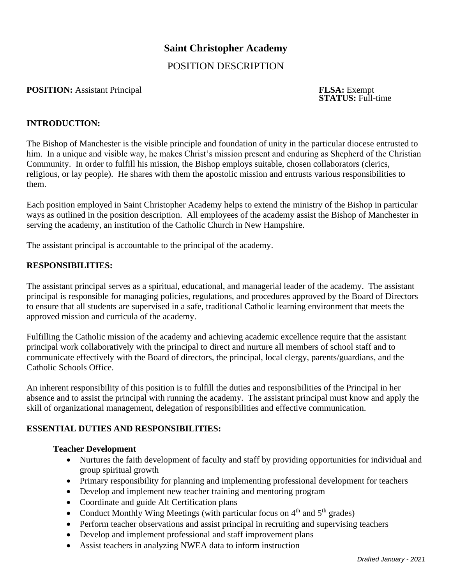# **Saint Christopher Academy**

# POSITION DESCRIPTION

#### **POSITION:** Assistant Principal **FLSA:** Exempt

**STATUS:** Full-time

#### **INTRODUCTION:**

The Bishop of Manchester is the visible principle and foundation of unity in the particular diocese entrusted to him. In a unique and visible way, he makes Christ's mission present and enduring as Shepherd of the Christian Community. In order to fulfill his mission, the Bishop employs suitable, chosen collaborators (clerics, religious, or lay people). He shares with them the apostolic mission and entrusts various responsibilities to them.

Each position employed in Saint Christopher Academy helps to extend the ministry of the Bishop in particular ways as outlined in the position description. All employees of the academy assist the Bishop of Manchester in serving the academy, an institution of the Catholic Church in New Hampshire.

The assistant principal is accountable to the principal of the academy.

### **RESPONSIBILITIES:**

The assistant principal serves as a spiritual, educational, and managerial leader of the academy. The assistant principal is responsible for managing policies, regulations, and procedures approved by the Board of Directors to ensure that all students are supervised in a safe, traditional Catholic learning environment that meets the approved mission and curricula of the academy.

Fulfilling the Catholic mission of the academy and achieving academic excellence require that the assistant principal work collaboratively with the principal to direct and nurture all members of school staff and to communicate effectively with the Board of directors, the principal, local clergy, parents/guardians, and the Catholic Schools Office.

An inherent responsibility of this position is to fulfill the duties and responsibilities of the Principal in her absence and to assist the principal with running the academy. The assistant principal must know and apply the skill of organizational management, delegation of responsibilities and effective communication.

#### **ESSENTIAL DUTIES AND RESPONSIBILITIES:**

#### **Teacher Development**

- Nurtures the faith development of faculty and staff by providing opportunities for individual and group spiritual growth
- Primary responsibility for planning and implementing professional development for teachers
- Develop and implement new teacher training and mentoring program
- Coordinate and guide Alt Certification plans
- Conduct Monthly Wing Meetings (with particular focus on  $4<sup>th</sup>$  and  $5<sup>th</sup>$  grades)
- Perform teacher observations and assist principal in recruiting and supervising teachers
- Develop and implement professional and staff improvement plans
- Assist teachers in analyzing NWEA data to inform instruction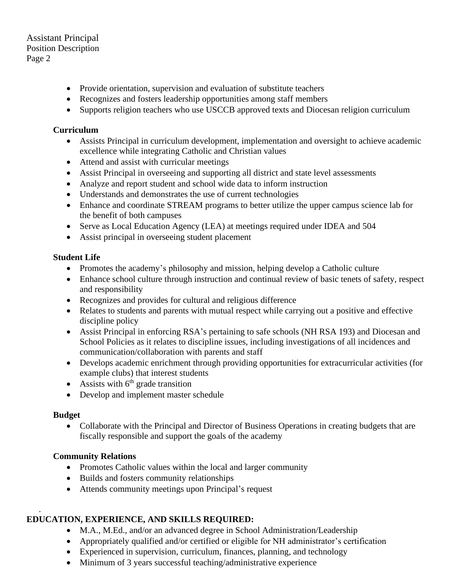## Assistant Principal Position Description Page 2

- Provide orientation, supervision and evaluation of substitute teachers
- Recognizes and fosters leadership opportunities among staff members
- Supports religion teachers who use USCCB approved texts and Diocesan religion curriculum

### **Curriculum**

- Assists Principal in curriculum development, implementation and oversight to achieve academic excellence while integrating Catholic and Christian values
- Attend and assist with curricular meetings
- Assist Principal in overseeing and supporting all district and state level assessments
- Analyze and report student and school wide data to inform instruction
- Understands and demonstrates the use of current technologies
- Enhance and coordinate STREAM programs to better utilize the upper campus science lab for the benefit of both campuses
- Serve as Local Education Agency (LEA) at meetings required under IDEA and 504
- Assist principal in overseeing student placement

# **Student Life**

- Promotes the academy's philosophy and mission, helping develop a Catholic culture
- Enhance school culture through instruction and continual review of basic tenets of safety, respect and responsibility
- Recognizes and provides for cultural and religious difference
- Relates to students and parents with mutual respect while carrying out a positive and effective discipline policy
- Assist Principal in enforcing RSA's pertaining to safe schools (NH RSA 193) and Diocesan and School Policies as it relates to discipline issues, including investigations of all incidences and communication/collaboration with parents and staff
- Develops academic enrichment through providing opportunities for extracurricular activities (for example clubs) that interest students
- Assists with  $6<sup>th</sup>$  grade transition
- Develop and implement master schedule

### **Budget**

• Collaborate with the Principal and Director of Business Operations in creating budgets that are fiscally responsible and support the goals of the academy

### **Community Relations**

- Promotes Catholic values within the local and larger community
- Builds and fosters community relationships
- Attends community meetings upon Principal's request

#### . **EDUCATION, EXPERIENCE, AND SKILLS REQUIRED:**

- M.A., M.Ed., and/or an advanced degree in School Administration/Leadership
- Appropriately qualified and/or certified or eligible for NH administrator's certification
- Experienced in supervision, curriculum, finances, planning, and technology
- Minimum of 3 years successful teaching/administrative experience